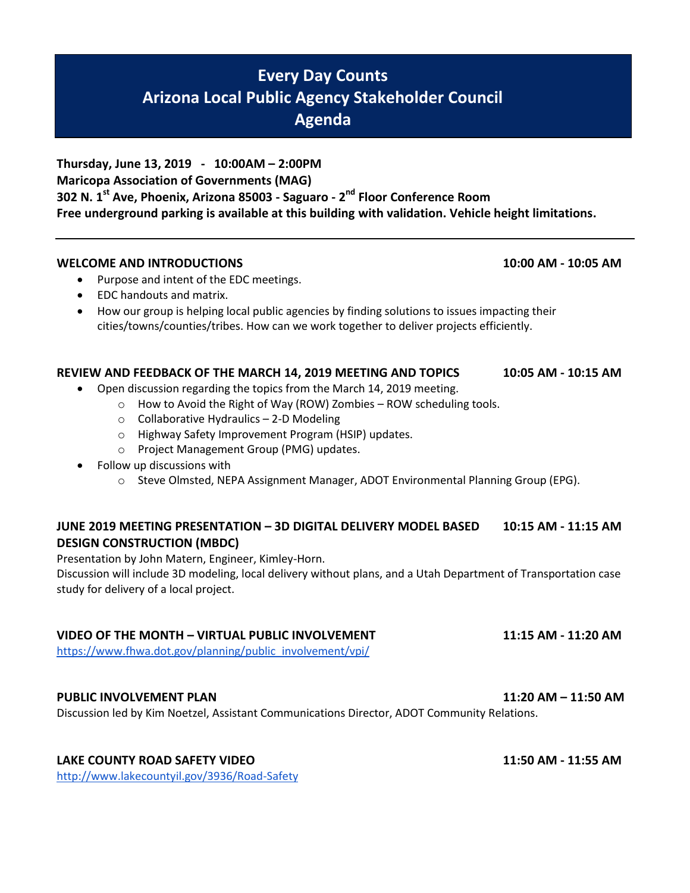# **Every Day Counts Arizona Local Public Agency Stakeholder Council Agenda**

**Thursday, June 13, 2019 - 10:00AM – 2:00PM Maricopa Association of Governments (MAG) 302 N. 1st Ave, Phoenix, Arizona 85003 - Saguaro - 2 nd Floor Conference Room Free underground parking is available at this building with validation. Vehicle height limitations.**

### **WELCOME AND INTRODUCTIONS 10:00 AM - 10:05 AM**

- Purpose and intent of the EDC meetings.
- EDC handouts and matrix.
- How our group is helping local public agencies by finding solutions to issues impacting their cities/towns/counties/tribes. How can we work together to deliver projects efficiently.

### **REVIEW AND FEEDBACK OF THE MARCH 14, 2019 MEETING AND TOPICS 10:05 AM - 10:15 AM**

- Open discussion regarding the topics from the March 14, 2019 meeting.
	- o How to Avoid the Right of Way (ROW) Zombies ROW scheduling tools.
		- $\circ$  Collaborative Hydraulics 2-D Modeling
		- o Highway Safety Improvement Program (HSIP) updates.
		- o Project Management Group (PMG) updates.
- Follow up discussions with
	- o Steve Olmsted, NEPA Assignment Manager, ADOT Environmental Planning Group (EPG).

## **JUNE 2019 MEETING PRESENTATION – 3D DIGITAL DELIVERY MODEL BASED 10:15 AM - 11:15 AM DESIGN CONSTRUCTION (MBDC)**

Presentation by John Matern, Engineer, Kimley-Horn.

Discussion will include 3D modeling, local delivery without plans, and a Utah Department of Transportation case study for delivery of a local project.

#### **VIDEO OF THE MONTH – VIRTUAL PUBLIC INVOLVEMENT 11:15 AM - 11:20 AM**

https://www.fhwa.dot.gov/planning/public\_involvement/vpi/

## **PUBLIC INVOLVEMENT PLAN 11:20 AM – 11:50 AM**

Discussion led by Kim Noetzel, Assistant Communications Director, ADOT Community Relations.

## **LAKE COUNTY ROAD SAFETY VIDEO 11:50 AM - 11:55 AM**

<http://www.lakecountyil.gov/3936/Road-Safety>